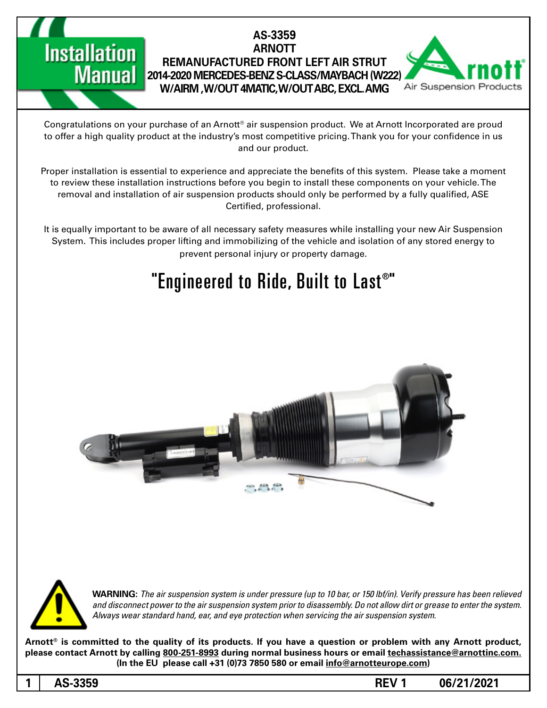### **Installation Manual**

### **AS-3359 ARNOTT REMANUFACTURED FRONT LEFT AIR STRUT 2014-2020 MERCEDES-BENZ S-CLASS/MAYBACH (W222) W/AIRM, W/OUT 4MATIC, W/OUT ABC, EXCL. AMG**



Congratulations on your purchase of an Arnott® air suspension product. We at Arnott Incorporated are proud to offer a high quality product at the industry's most competitive pricing. Thank you for your confidence in us and our product.

Proper installation is essential to experience and appreciate the benefits of this system. Please take a moment to review these installation instructions before you begin to install these components on your vehicle. The removal and installation of air suspension products should only be performed by a fully qualified, ASE Certified, professional.

It is equally important to be aware of all necessary safety measures while installing your new Air Suspension System. This includes proper lifting and immobilizing of the vehicle and isolation of any stored energy to prevent personal injury or property damage.

### "Engineered to Ride, Built to Last®"





*WARNING: The air suspension system is under pressure (up to 10 bar, or 150 lbf/in). Verify pressure has been relieved* and disconnect power to the air suspension system prior to disassembly. Do not allow dirt or grease to enter the system. Always wear standard hand, ear, and eye protection when servicing the air suspension system.

Arnott<sup>®</sup> is committed to the quality of its products. If you have a question or problem with any Arnott product, please contact Arnott by calling 800-251-8993 during normal business hours or email techassistance@arnottinc.com. (In the EU please call +31 (0)73 7850 580 or email info@arnotteurope.com)

**06/21/2021 1 REV -3359AS 1**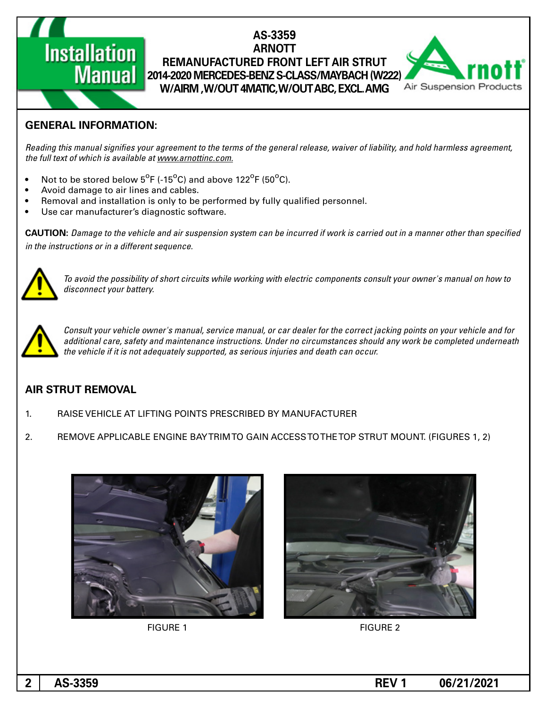# **Installation**

#### **AS-3359 ARNOTT REMANUFACTURED FRONT LEFT AIR STRUT Manual Replant (2014-2020 MERCEDES-BENZ S-CLASS/MAYBACH (W222) W/AIRM, W/OUT 4MATIC, W/OUT ABC, EXCL. AMG**



### **GENERAL INFORMATION:**

Reading this manual signifies your agreement to the terms of the general release, waiver of liability, and hold harmless agreement, the full text of which is available at www.arnottinc.com.

- $\bullet$  Not to be stored below 5<sup>o</sup>F (-15<sup>o</sup>C) and above 122<sup>o</sup>F (50<sup>o</sup>C).
- Avoid damage to air lines and cables.
- Removal and installation is only to be performed by fully qualified personnel.
- Use car manufacturer's diagnostic software.

**CAUTION:** Damage to the vehicle and air suspension system can be incurred if work is carried out in a manner other than specified *in the instructions or in a different sequence.* 



 *to how on manual s'owner your consult components electric with working while circuits short of possibility the avoid To* disconnect your battery.



Consult your vehicle owner's manual, service manual, or car dealer for the correct jacking points on your vehicle and for additional care, safety and maintenance instructions. Under no circumstances should any work be completed underneath the vehicle if it is not adequately supported, as serious injuries and death can occur.

### **AIR STRUT REMOVAL**

- 1. RAISE VEHICLE AT LIFTING POINTS PRESCRIBED BY MANUFACTURER
- 2. REMOVE APPLICABLE ENGINE BAYTRIM TO GAIN ACCESS TO THE TOP STRUT MOUNT. (FIGURES 1, 2)





**FIGURE 1** FIGURE 2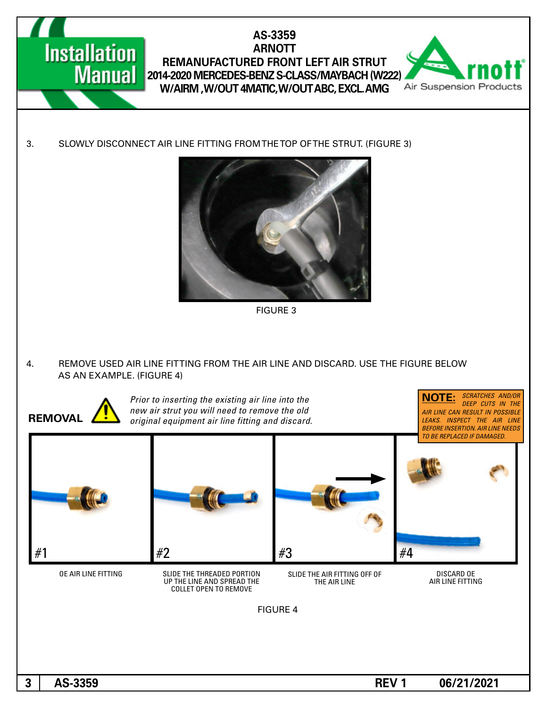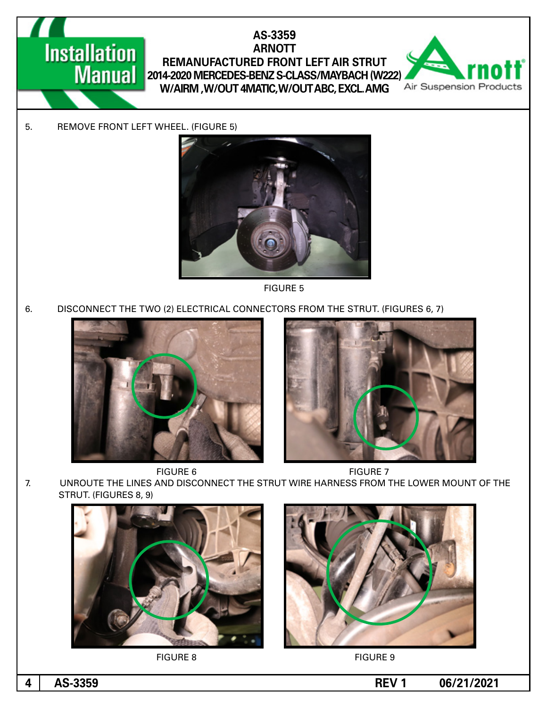## **Installation**

### AS-3359 **ARNOTT REMANUFACTURED FRONT LEFT AIR STRUT Manual 2014-2020 MERCEDES-BENZ S-CLASS/MAYBACH (W222) W/AIRM, W/OUT 4MATIC, W/OUT ABC, EXCL. AMG**



5. REMOVE FRONT LEFT WHEEL. (FIGURE 5)



**FIGURE 5** 

6. DISCONNECT THE TWO (2) ELECTRICAL CONNECTORS FROM THE STRUT. (FIGURES 6, 7)









7. UNROUTE THE LINES AND DISCONNECT THE STRUT WIRE HARNESS FROM THE LOWER MOUNT OF THE STRUT. (FIGURES 8, 9)







**06/21/2021 -4** AS-3359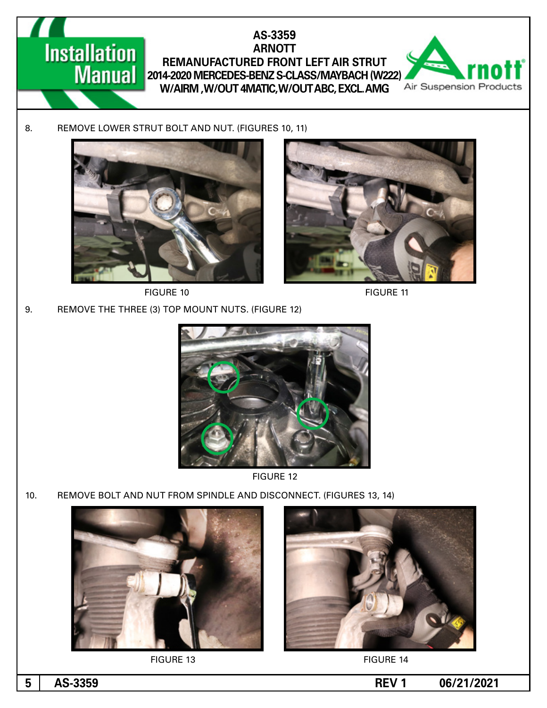



FIGURE 10 FIGURE 11



9. REMOVE THE THREE (3) TOP MOUNT NUTS. (FIGURE 12)



**FIGURE 12** 

10. REMOVE BOLT AND NUT FROM SPINDLE AND DISCONNECT. (FIGURES 13, 14)







**06/21/2021 1 REV -3359AS 5**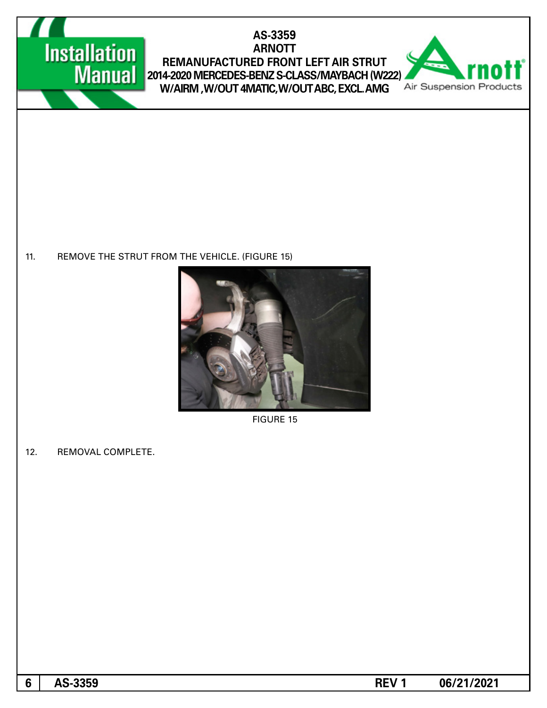

### AS-3359 **ARNOTT** REMANUFACTURED FRONT LEFT AIR STRUT 2014-2020 MERCEDES-BENZ S-CLASS/MAYBACH (W222) W/AIRM ,W/OUT 4MATIC,W/OUT ABC, EXCL. AMG



11. REMOVE THE STRUT FROM THE VEHICLE. (FIGURE 15)



**FIGURE 15** 

12. REMOVAL COMPLETE.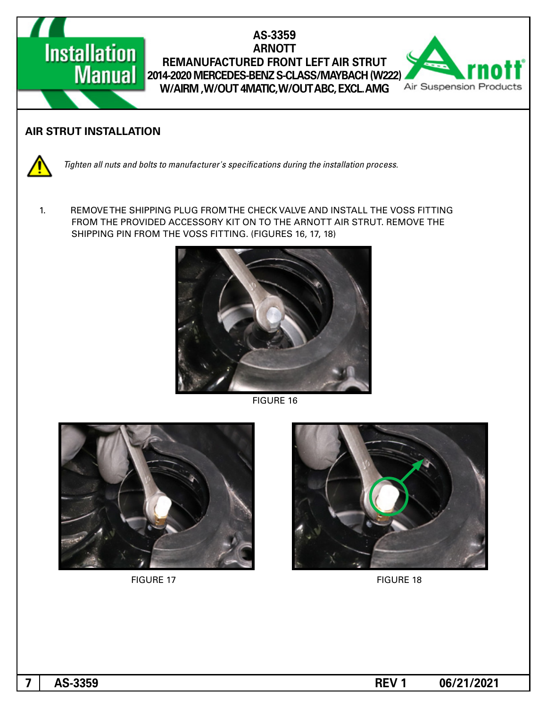



#### **AIR STRUT INSTALLATION**



*Tighten all nuts and bolts to manufacturer's specifications during the installation process.* 

1. REMOVE THE SHIPPING PLUG FROM THE CHECK VALVE AND INSTALL THE VOSS FITTING FROM THE PROVIDED ACCESSORY KIT ON TO THE ARNOTT AIR STRUT. REMOVE THE SHIPPING PIN FROM THE VOSS FITTING. (FIGURES 16, 17, 18)



**FIGURE 16** 





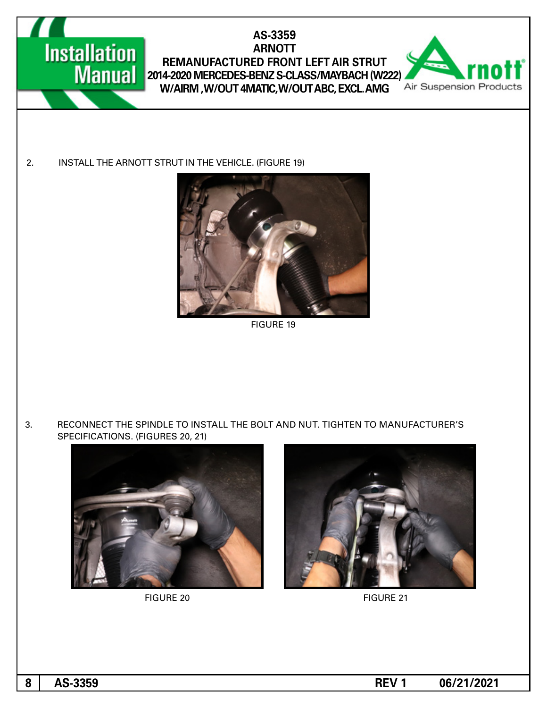

AS-3359 **ARNOTT REMANUFACTURED FRONT LEFT AIR STRUT Manual 2014-2020 MERCEDES-BENZ S-CLASS/MAYBACH (W222) W/AIRM, W/OUT 4MATIC, W/OUT ABC, EXCL. AMG** 



2. INSTALL THE ARNOTT STRUT IN THE VEHICLE. (FIGURE 19)



**FIGURE 19** 

3. RECONNECT THE SPINDLE TO INSTALL THE BOLT AND NUT. TIGHTEN TO MANUFACTURER'S SPECIFICATIONS. (FIGURES 20, 21)



**FIGURE 20** FIGURE 21



**06/21/2021 -3359**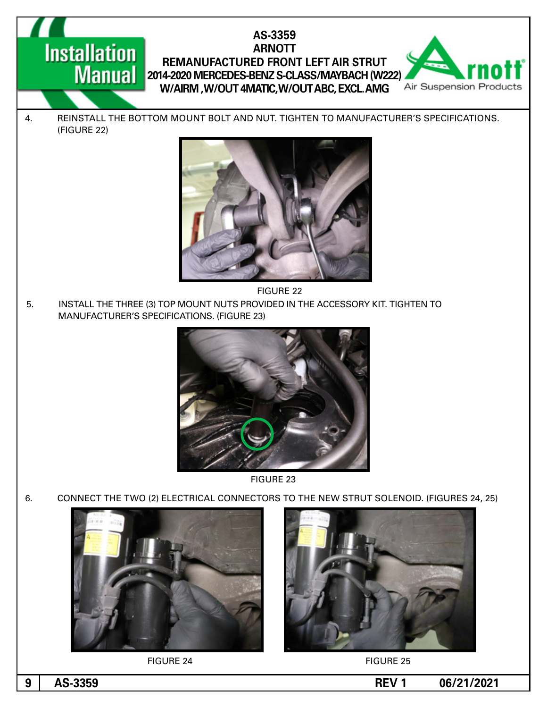# **Installation**

### AS-3359 **ARNOTT REMANUFACTURED FRONT LEFT AIR STRUT Manual** 2014-2020 MERCEDES-BENZ S-CLASS/MAYBACH (W222) **W/AIRM, W/OUT 4MATIC, W/OUT ABC, EXCL. AMG**



4. REINSTALL THE BOTTOM MOUNT BOLT AND NUT. TIGHTEN TO MANUFACTURER'S SPECIFICATIONS. (FIGURE 22)



22 FIGURE

5. INSTALL THE THREE (3) TOP MOUNT NUTS PROVIDED IN THE ACCESSORY KIT. TIGHTEN TO MANUFACTURER'S SPECIFICATIONS. (FIGURE 23)



**FIGURE 23** 

6. CONNECT THE TWO (2) ELECTRICAL CONNECTORS TO THE NEW STRUT SOLENOID. (FIGURES 24, 25)



FIGURE 24 FIGURE 25



**06/21/2021 -45-3359**